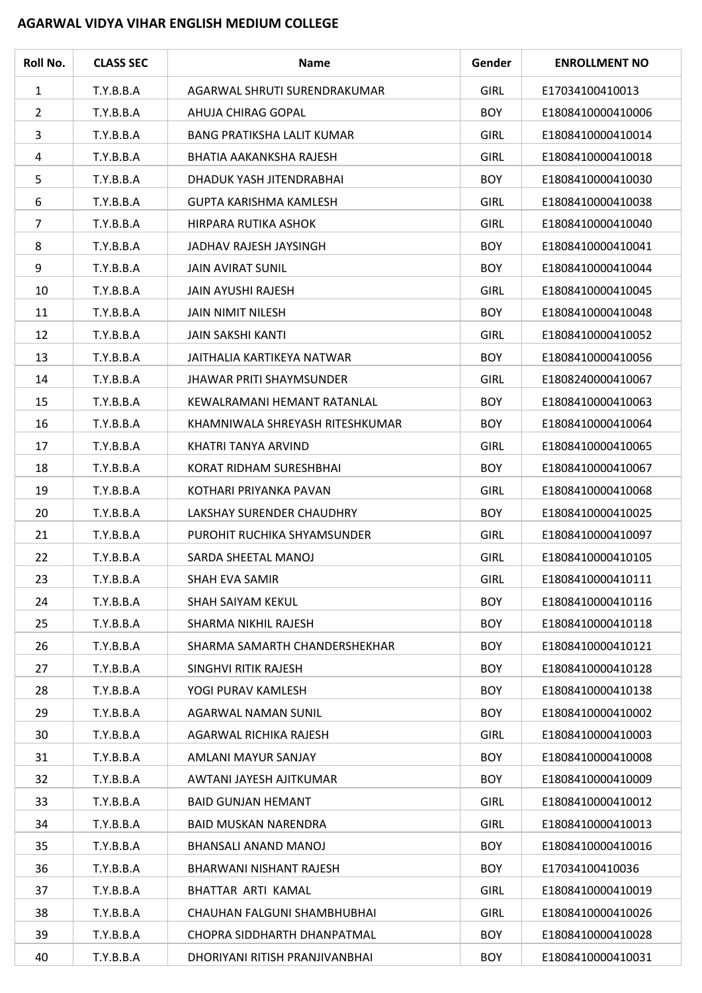## **AGARWAL VIDYA VIHAR ENGLISH MEDIUM COLLEGE**

| Roll No.       | <b>CLASS SEC</b> | <b>Name</b>                       | Gender      | <b>ENROLLMENT NO</b> |
|----------------|------------------|-----------------------------------|-------------|----------------------|
| $\mathbf{1}$   | T.Y.B.B.A        | AGARWAL SHRUTI SURENDRAKUMAR      | <b>GIRL</b> | E17034100410013      |
| $\overline{2}$ | T.Y.B.B.A        | AHUJA CHIRAG GOPAL                | <b>BOY</b>  | E1808410000410006    |
| 3              | T.Y.B.B.A        | <b>BANG PRATIKSHA LALIT KUMAR</b> | <b>GIRL</b> | E1808410000410014    |
| 4              | T.Y.B.B.A        | <b>BHATIA AAKANKSHA RAJESH</b>    | <b>GIRL</b> | E1808410000410018    |
| 5              | T.Y.B.B.A        | DHADUK YASH JITENDRABHAI          | <b>BOY</b>  | E1808410000410030    |
| 6              | T.Y.B.B.A        | <b>GUPTA KARISHMA KAMLESH</b>     | <b>GIRL</b> | E1808410000410038    |
| 7              | T.Y.B.B.A        | HIRPARA RUTIKA ASHOK              | <b>GIRL</b> | E1808410000410040    |
| 8              | T.Y.B.B.A        | JADHAV RAJESH JAYSINGH            | <b>BOY</b>  | E1808410000410041    |
| 9              | T.Y.B.B.A        | <b>JAIN AVIRAT SUNIL</b>          | <b>BOY</b>  | E1808410000410044    |
| 10             | T.Y.B.B.A        | JAIN AYUSHI RAJESH                | <b>GIRL</b> | E1808410000410045    |
| 11             | T.Y.B.B.A        | <b>JAIN NIMIT NILESH</b>          | <b>BOY</b>  | E1808410000410048    |
| 12             | T.Y.B.B.A        | <b>JAIN SAKSHI KANTI</b>          | <b>GIRL</b> | E1808410000410052    |
| 13             | T.Y.B.B.A        | JAITHALIA KARTIKEYA NATWAR        | <b>BOY</b>  | E1808410000410056    |
| 14             | T.Y.B.B.A        | <b>JHAWAR PRITI SHAYMSUNDER</b>   | <b>GIRL</b> | E1808240000410067    |
| 15             | T.Y.B.B.A        | KEWALRAMANI HEMANT RATANLAL       | <b>BOY</b>  | E1808410000410063    |
| 16             | T.Y.B.B.A        | KHAMNIWALA SHREYASH RITESHKUMAR   | <b>BOY</b>  | E1808410000410064    |
| 17             | T.Y.B.B.A        | KHATRI TANYA ARVIND               | <b>GIRL</b> | E1808410000410065    |
| 18             | T.Y.B.B.A        | KORAT RIDHAM SURESHBHAI           | <b>BOY</b>  | E1808410000410067    |
| 19             | T.Y.B.B.A        | KOTHARI PRIYANKA PAVAN            | <b>GIRL</b> | E1808410000410068    |
| 20             | T.Y.B.B.A        | LAKSHAY SURENDER CHAUDHRY         | <b>BOY</b>  | E1808410000410025    |
| 21             | T.Y.B.B.A        | PUROHIT RUCHIKA SHYAMSUNDER       | <b>GIRL</b> | E1808410000410097    |
| 22             | T.Y.B.B.A        | SARDA SHEETAL MANOJ               | <b>GIRL</b> | E1808410000410105    |
| 23             | T.Y.B.B.A        | SHAH EVA SAMIR                    | <b>GIRL</b> | E1808410000410111    |
| 24             | T.Y.B.B.A        | SHAH SAIYAM KEKUL                 | <b>BOY</b>  | E1808410000410116    |
| 25             | T.Y.B.B.A        | SHARMA NIKHIL RAJESH              | <b>BOY</b>  | E1808410000410118    |
| 26             | T.Y.B.B.A        | SHARMA SAMARTH CHANDERSHEKHAR     | <b>BOY</b>  | E1808410000410121    |
| 27             | T.Y.B.B.A        | SINGHVI RITIK RAJESH              | <b>BOY</b>  | E1808410000410128    |
| 28             | T.Y.B.B.A        | YOGI PURAV KAMLESH                | <b>BOY</b>  | E1808410000410138    |
| 29             | T.Y.B.B.A        | AGARWAL NAMAN SUNIL               | <b>BOY</b>  | E1808410000410002    |
| 30             | T.Y.B.B.A        | AGARWAL RICHIKA RAJESH            | <b>GIRL</b> | E1808410000410003    |
| 31             | T.Y.B.B.A        | AMLANI MAYUR SANJAY               | <b>BOY</b>  | E1808410000410008    |
| 32             | T.Y.B.B.A        | AWTANI JAYESH AJITKUMAR           | <b>BOY</b>  | E1808410000410009    |
| 33             | T.Y.B.B.A        | <b>BAID GUNJAN HEMANT</b>         | <b>GIRL</b> | E1808410000410012    |
| 34             | T.Y.B.B.A        | <b>BAID MUSKAN NARENDRA</b>       | <b>GIRL</b> | E1808410000410013    |
| 35             | T.Y.B.B.A        | BHANSALI ANAND MANOJ              | <b>BOY</b>  | E1808410000410016    |
| 36             | T.Y.B.B.A        | BHARWANI NISHANT RAJESH           | <b>BOY</b>  | E17034100410036      |
| 37             | T.Y.B.B.A        | BHATTAR ARTI KAMAL                | <b>GIRL</b> | E1808410000410019    |
| 38             | T.Y.B.B.A        | CHAUHAN FALGUNI SHAMBHUBHAI       | <b>GIRL</b> | E1808410000410026    |
| 39             | T.Y.B.B.A        | CHOPRA SIDDHARTH DHANPATMAL       | <b>BOY</b>  | E1808410000410028    |
| 40             | T.Y.B.B.A        | DHORIYANI RITISH PRANJIVANBHAI    | <b>BOY</b>  | E1808410000410031    |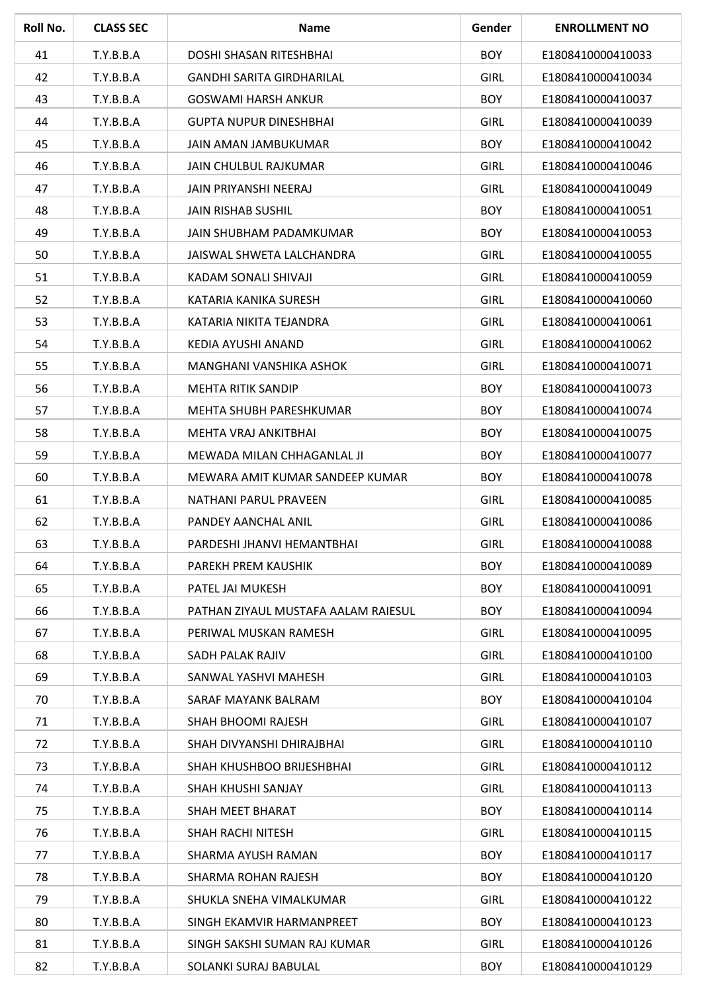| Roll No. | <b>CLASS SEC</b> | <b>Name</b>                         | Gender      | <b>ENROLLMENT NO</b> |
|----------|------------------|-------------------------------------|-------------|----------------------|
| 41       | T.Y.B.B.A        | DOSHI SHASAN RITESHBHAI             | <b>BOY</b>  | E1808410000410033    |
| 42       | T.Y.B.B.A        | <b>GANDHI SARITA GIRDHARILAL</b>    | <b>GIRL</b> | E1808410000410034    |
| 43       | T.Y.B.B.A        | <b>GOSWAMI HARSH ANKUR</b>          | <b>BOY</b>  | E1808410000410037    |
| 44       | T.Y.B.B.A        | <b>GUPTA NUPUR DINESHBHAI</b>       | <b>GIRL</b> | E1808410000410039    |
| 45       | T.Y.B.B.A        | JAIN AMAN JAMBUKUMAR                | <b>BOY</b>  | E1808410000410042    |
| 46       | T.Y.B.B.A        | JAIN CHULBUL RAJKUMAR               | <b>GIRL</b> | E1808410000410046    |
| 47       | T.Y.B.B.A        | JAIN PRIYANSHI NEERAJ               | <b>GIRL</b> | E1808410000410049    |
| 48       | T.Y.B.B.A        | <b>JAIN RISHAB SUSHIL</b>           | <b>BOY</b>  | E1808410000410051    |
| 49       | T.Y.B.B.A        | JAIN SHUBHAM PADAMKUMAR             | <b>BOY</b>  | E1808410000410053    |
| 50       | T.Y.B.B.A        | JAISWAL SHWETA LALCHANDRA           | <b>GIRL</b> | E1808410000410055    |
| 51       | T.Y.B.B.A        | KADAM SONALI SHIVAJI                | <b>GIRL</b> | E1808410000410059    |
| 52       | T.Y.B.B.A        | KATARIA KANIKA SURESH               | <b>GIRL</b> | E1808410000410060    |
| 53       | T.Y.B.B.A        | KATARIA NIKITA TEJANDRA             | <b>GIRL</b> | E1808410000410061    |
| 54       | T.Y.B.B.A        | KEDIA AYUSHI ANAND                  | <b>GIRL</b> | E1808410000410062    |
| 55       | T.Y.B.B.A        | MANGHANI VANSHIKA ASHOK             | <b>GIRL</b> | E1808410000410071    |
| 56       | T.Y.B.B.A        | <b>MEHTA RITIK SANDIP</b>           | <b>BOY</b>  | E1808410000410073    |
| 57       | T.Y.B.B.A        | MEHTA SHUBH PARESHKUMAR             | <b>BOY</b>  | E1808410000410074    |
| 58       | T.Y.B.B.A        | MEHTA VRAJ ANKITBHAI                | <b>BOY</b>  | E1808410000410075    |
| 59       | T.Y.B.B.A        | MEWADA MILAN CHHAGANLAL JI          | <b>BOY</b>  | E1808410000410077    |
| 60       | T.Y.B.B.A        | MEWARA AMIT KUMAR SANDEEP KUMAR     | <b>BOY</b>  | E1808410000410078    |
| 61       | T.Y.B.B.A        | NATHANI PARUL PRAVEEN               | <b>GIRL</b> | E1808410000410085    |
| 62       | T.Y.B.B.A        | PANDEY AANCHAL ANIL                 | <b>GIRL</b> | E1808410000410086    |
| 63       | T.Y.B.B.A        | PARDESHI JHANVI HEMANTBHAI          | <b>GIRL</b> | E1808410000410088    |
| 64       | T.Y.B.B.A        | PAREKH PREM KAUSHIK                 | <b>BOY</b>  | E1808410000410089    |
| 65       | T.Y.B.B.A        | PATEL JAI MUKESH                    | <b>BOY</b>  | E1808410000410091    |
| 66       | T.Y.B.B.A        | PATHAN ZIYAUL MUSTAFA AALAM RAIESUL | <b>BOY</b>  | E1808410000410094    |
| 67       | T.Y.B.B.A        | PERIWAL MUSKAN RAMESH               | <b>GIRL</b> | E1808410000410095    |
| 68       | T.Y.B.B.A        | SADH PALAK RAJIV                    | <b>GIRL</b> | E1808410000410100    |
| 69       | T.Y.B.B.A        | SANWAL YASHVI MAHESH                | <b>GIRL</b> | E1808410000410103    |
| 70       | T.Y.B.B.A        | SARAF MAYANK BALRAM                 | <b>BOY</b>  | E1808410000410104    |
| 71       | T.Y.B.B.A        | SHAH BHOOMI RAJESH                  | <b>GIRL</b> | E1808410000410107    |
| 72       | T.Y.B.B.A        | SHAH DIVYANSHI DHIRAJBHAI           | <b>GIRL</b> | E1808410000410110    |
| 73       | T.Y.B.B.A        | SHAH KHUSHBOO BRIJESHBHAI           | <b>GIRL</b> | E1808410000410112    |
| 74       | T.Y.B.B.A        | SHAH KHUSHI SANJAY                  | <b>GIRL</b> | E1808410000410113    |
| 75       | T.Y.B.B.A        | SHAH MEET BHARAT                    | <b>BOY</b>  | E1808410000410114    |
| 76       | T.Y.B.B.A        | SHAH RACHI NITESH                   | <b>GIRL</b> | E1808410000410115    |
| 77       | T.Y.B.B.A        | SHARMA AYUSH RAMAN                  | <b>BOY</b>  | E1808410000410117    |
| 78       | T.Y.B.B.A        | SHARMA ROHAN RAJESH                 | <b>BOY</b>  | E1808410000410120    |
| 79       | T.Y.B.B.A        | SHUKLA SNEHA VIMALKUMAR             | <b>GIRL</b> | E1808410000410122    |
| 80       | T.Y.B.B.A        | SINGH EKAMVIR HARMANPREET           | <b>BOY</b>  | E1808410000410123    |
| 81       | T.Y.B.B.A        | SINGH SAKSHI SUMAN RAJ KUMAR        | <b>GIRL</b> | E1808410000410126    |
| 82       | T.Y.B.B.A        | SOLANKI SURAJ BABULAL               | <b>BOY</b>  | E1808410000410129    |